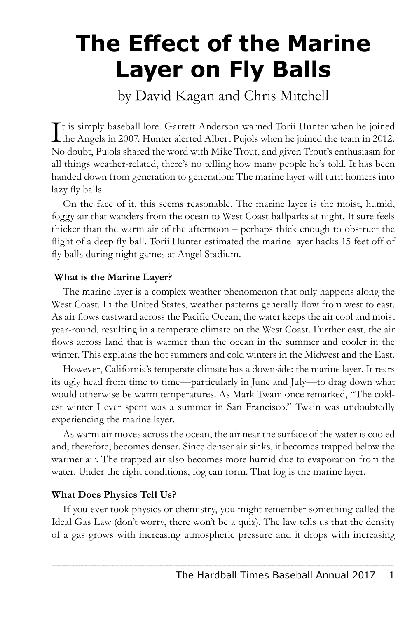# **The Efect of the Marine Layer on Fly Balls**

by David Kagan and Chris Mitchell

It is simply baseball lore. Garrett Anderson warned Torii Hunter when he joined<br>the Angels in 2007. Hunter alerted Albert Pujols when he joined the team in 2012. the Angels in 2007. Hunter alerted Albert Pujols when he joined the team in 2012. No doubt, Pujols shared the word with Mike Trout, and given Trout's enthusiasm for all things weather-related, there's no telling how many people he's told. It has been handed down from generation to generation: The marine layer will turn homers into lazy fy balls.

On the face of it, this seems reasonable. The marine layer is the moist, humid, foggy air that wanders from the ocean to West Coast ballparks at night. It sure feels thicker than the warm air of the afternoon – perhaps thick enough to obstruct the fight of a deep fy ball. Torii Hunter estimated the marine layer hacks 15 feet off of fy balls during night games at Angel Stadium.

### **What is the Marine Layer?**

The marine layer is a complex weather phenomenon that only happens along the West Coast. In the United States, weather patterns generally fow from west to east. As air fows eastward across the Pacifc Ocean, the water keeps the air cool and moist year-round, resulting in a temperate climate on the West Coast. Further east, the air fows across land that is warmer than the ocean in the summer and cooler in the winter. This explains the hot summers and cold winters in the Midwest and the East.

However, California's temperate climate has a downside: the marine layer. It rears its ugly head from time to time—particularly in June and July—to drag down what would otherwise be warm temperatures. As Mark Twain once remarked, "The coldest winter I ever spent was a summer in San Francisco." Twain was undoubtedly experiencing the marine layer.

As warm air moves across the ocean, the air near the surface of the water is cooled and, therefore, becomes denser. Since denser air sinks, it becomes trapped below the warmer air. The trapped air also becomes more humid due to evaporation from the water. Under the right conditions, fog can form. That fog is the marine layer.

## **What Does Physics Tell Us?**

If you ever took physics or chemistry, you might remember something called the Ideal Gas Law (don't worry, there won't be a quiz). The law tells us that the density of a gas grows with increasing atmospheric pressure and it drops with increasing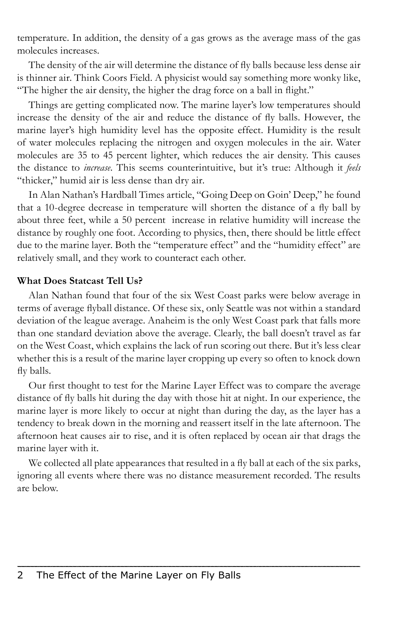temperature. In addition, the density of a gas grows as the average mass of the gas molecules increases.

The density of the air will determine the distance of fy balls because less dense air is thinner air. Think Coors Field. A physicist would say something more wonky like, "The higher the air density, the higher the drag force on a ball in fight."

Things are getting complicated now. The marine layer's low temperatures should increase the density of the air and reduce the distance of fy balls. However, the marine layer's high humidity level has the opposite effect. Humidity is the result of water molecules replacing the nitrogen and oxygen molecules in the air. Water molecules are 35 to 45 percent lighter, which reduces the air density. This causes the distance to *increase*. This seems counterintuitive, but it's true: Although it *feels* "thicker," humid air is less dense than dry air.

In Alan Nathan's Hardball Times article, "Going Deep on Goin' Deep," he found that a 10-degree decrease in temperature will shorten the distance of a fy ball by about three feet, while a 50 percent increase in relative humidity will increase the distance by roughly one foot. According to physics, then, there should be little effect due to the marine layer. Both the "temperature effect" and the "humidity effect" are relatively small, and they work to counteract each other.

#### **What Does Statcast Tell Us?**

Alan Nathan found that four of the six West Coast parks were below average in terms of average fyball distance. Of these six, only Seattle was not within a standard deviation of the league average. Anaheim is the only West Coast park that falls more than one standard deviation above the average. Clearly, the ball doesn't travel as far on the West Coast, which explains the lack of run scoring out there. But it's less clear whether this is a result of the marine layer cropping up every so often to knock down fy balls.

Our frst thought to test for the Marine Layer Effect was to compare the average distance of fy balls hit during the day with those hit at night. In our experience, the marine layer is more likely to occur at night than during the day, as the layer has a tendency to break down in the morning and reassert itself in the late afternoon. The afternoon heat causes air to rise, and it is often replaced by ocean air that drags the marine layer with it.

We collected all plate appearances that resulted in a fy ball at each of the six parks, ignoring all events where there was no distance measurement recorded. The results are below.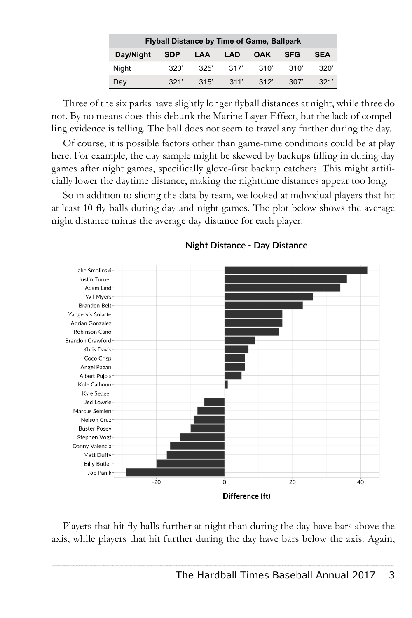| <b>Flyball Distance by Time of Game, Ballpark</b> |      |      |               |         |        |                  |
|---------------------------------------------------|------|------|---------------|---------|--------|------------------|
| Day/Night SDP LAA                                 |      |      | <b>LAD</b>    | OAK SFG |        | <b>SEA</b>       |
| Night                                             | 320' | 325' | 317'          | 310'    | 310'   | 320 <sup>'</sup> |
| Day                                               | 321' |      | $315'$ $311'$ | 312'    | - 307' | 321'             |

Three of the six parks have slightly longer fyball distances at night, while three do not. By no means does this debunk the Marine Layer Effect, but the lack of compelling evidence is telling. The ball does not seem to travel any further during the day.

Of course, it is possible factors other than game-time conditions could be at play here. For example, the day sample might be skewed by backups flling in during day games after night games, specifcally glove-frst backup catchers. This might artifcially lower the daytime distance, making the nighttime distances appear too long.

So in addition to slicing the data by team, we looked at individual players that hit at least 10 fy balls during day and night games. The plot below shows the average night distance minus the average day distance for each player.



#### Night Distance - Day Distance

Players that hit fy balls further at night than during the day have bars above the axis, while players that hit further during the day have bars below the axis. Again,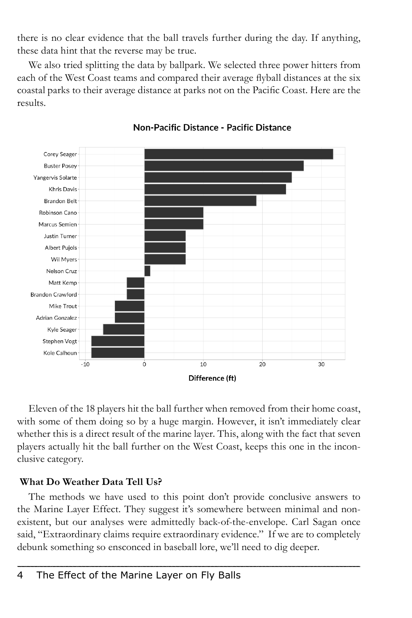there is no clear evidence that the ball travels further during the day. If anything, these data hint that the reverse may be true.

We also tried splitting the data by ballpark. We selected three power hitters from each of the West Coast teams and compared their average fyball distances at the six coastal parks to their average distance at parks not on the Pacifc Coast. Here are the results.



#### Non-Pacific Distance - Pacific Distance

Eleven of the 18 players hit the ball further when removed from their home coast, with some of them doing so by a huge margin. However, it isn't immediately clear whether this is a direct result of the marine layer. This, along with the fact that seven players actually hit the ball further on the West Coast, keeps this one in the inconclusive category.

## **What Do Weather Data Tell Us?**

The methods we have used to this point don't provide conclusive answers to the Marine Layer Effect. They suggest it's somewhere between minimal and nonexistent, but our analyses were admittedly back-of-the-envelope. Carl Sagan once said, "Extraordinary claims require extraordinary evidence." If we are to completely debunk something so ensconced in baseball lore, we'll need to dig deeper.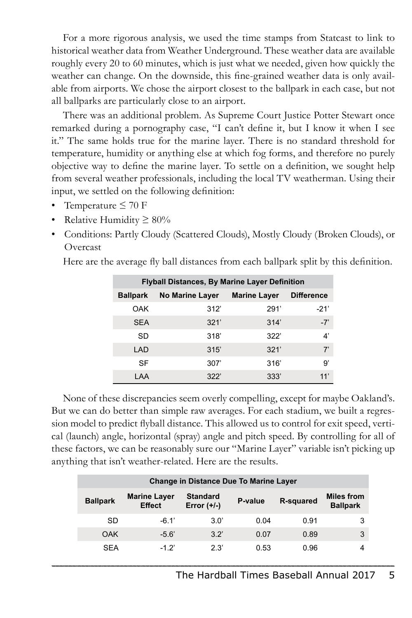For a more rigorous analysis, we used the time stamps from Statcast to link to historical weather data from Weather Underground. These weather data are available roughly every 20 to 60 minutes, which is just what we needed, given how quickly the weather can change. On the downside, this fne-grained weather data is only available from airports. We chose the airport closest to the ballpark in each case, but not all ballparks are particularly close to an airport.

There was an additional problem. As Supreme Court Justice Potter Stewart once remarked during a pornography case, "I can't defne it, but I know it when I see it." The same holds true for the marine layer. There is no standard threshold for temperature, humidity or anything else at which fog forms, and therefore no purely objective way to defne the marine layer. To settle on a defnition, we sought help from several weather professionals, including the local TV weatherman. Using their input, we settled on the following defnition:

- Temperature  $\leq 70$  F
- Relative Humidity  $\geq 80\%$
- Conditions: Partly Cloudy (Scattered Clouds), Mostly Cloudy (Broken Clouds), or Overcast

| <b>Flyball Distances, By Marine Layer Definition</b> |                        |                     |                   |  |  |
|------------------------------------------------------|------------------------|---------------------|-------------------|--|--|
| <b>Ballpark</b>                                      | <b>No Marine Layer</b> | <b>Marine Layer</b> | <b>Difference</b> |  |  |
| OAK                                                  | 312'                   | 291'                | -21'              |  |  |
| <b>SEA</b>                                           | 321'                   | 314'                | $-7'$             |  |  |
| SD                                                   | 318'                   | 322'                | 4'                |  |  |
| LAD                                                  | 315'                   | 321'                | 7'                |  |  |
| SF                                                   | 307'                   | 316'                | g,                |  |  |
| l AA                                                 | 322'                   | 333'                | 11'               |  |  |

Here are the average fy ball distances from each ballpark split by this defnition.

None of these discrepancies seem overly compelling, except for maybe Oakland's. But we can do better than simple raw averages. For each stadium, we built a regression model to predict fyball distance. This allowed us to control for exit speed, vertical (launch) angle, horizontal (spray) angle and pitch speed. By controlling for all of these factors, we can be reasonably sure our "Marine Layer" variable isn't picking up anything that isn't weather-related. Here are the results.

| Change in Distance Due To Marine Layer |                                      |                                  |         |           |                               |
|----------------------------------------|--------------------------------------|----------------------------------|---------|-----------|-------------------------------|
| <b>Ballpark</b>                        | <b>Marine Layer</b><br><b>Effect</b> | <b>Standard</b><br>Error $(+/-)$ | P-value | R-squared | Miles from<br><b>Ballpark</b> |
| SD                                     | $-6.1'$                              | 3.0'                             | 0.04    | 0.91      | 3                             |
| OAK                                    | $-5.6'$                              | 3.2'                             | 0.07    | 0.89      | 3                             |
| <b>SFA</b>                             | $-12'$                               | 2.3'                             | 0.53    | 0.96      |                               |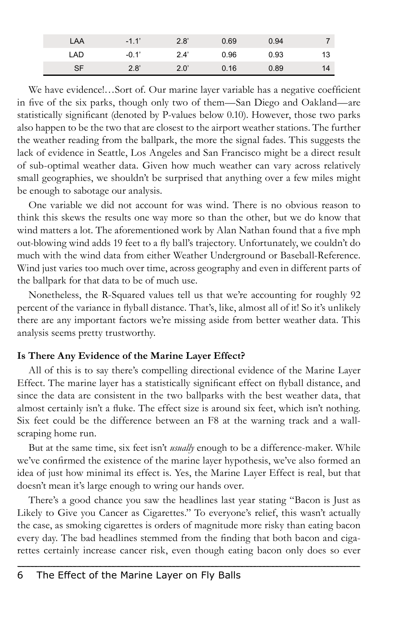| LAA | $-1.1'$ | 2.8' | 0.69 | 0.94 |    |
|-----|---------|------|------|------|----|
| LAD | $-0.1'$ | 2.4' | 0.96 | 0.93 | 13 |
| SF  | 2.8'    | 2.0' | 0.16 | 0.89 | 14 |

We have evidence!...Sort of. Our marine layer variable has a negative coefficient in fve of the six parks, though only two of them—San Diego and Oakland—are statistically signifcant (denoted by P-values below 0.10). However, those two parks also happen to be the two that are closest to the airport weather stations. The further the weather reading from the ballpark, the more the signal fades. This suggests the lack of evidence in Seattle, Los Angeles and San Francisco might be a direct result of sub-optimal weather data. Given how much weather can vary across relatively small geographies, we shouldn't be surprised that anything over a few miles might be enough to sabotage our analysis.

One variable we did not account for was wind. There is no obvious reason to think this skews the results one way more so than the other, but we do know that wind matters a lot. The aforementioned work by Alan Nathan found that a fve mph out-blowing wind adds 19 feet to a fy ball's trajectory. Unfortunately, we couldn't do much with the wind data from either Weather Underground or Baseball-Reference. Wind just varies too much over time, across geography and even in different parts of the ballpark for that data to be of much use.

Nonetheless, the R-Squared values tell us that we're accounting for roughly 92 percent of the variance in fyball distance. That's, like, almost all of it! So it's unlikely there are any important factors we're missing aside from better weather data. This analysis seems pretty trustworthy.

#### **Is There Any Evidence of the Marine Layer Effect?**

All of this is to say there's compelling directional evidence of the Marine Layer Effect. The marine layer has a statistically signifcant effect on fyball distance, and since the data are consistent in the two ballparks with the best weather data, that almost certainly isn't a fuke. The effect size is around six feet, which isn't nothing. Six feet could be the difference between an F8 at the warning track and a wallscraping home run.

But at the same time, six feet isn't *usually* enough to be a difference-maker. While we've confrmed the existence of the marine layer hypothesis, we've also formed an idea of just how minimal its effect is. Yes, the Marine Layer Effect is real, but that doesn't mean it's large enough to wring our hands over.

There's a good chance you saw the headlines last year stating "Bacon is Just as Likely to Give you Cancer as Cigarettes." To everyone's relief, this wasn't actually the case, as smoking cigarettes is orders of magnitude more risky than eating bacon every day. The bad headlines stemmed from the fnding that both bacon and cigarettes certainly increase cancer risk, even though eating bacon only does so ever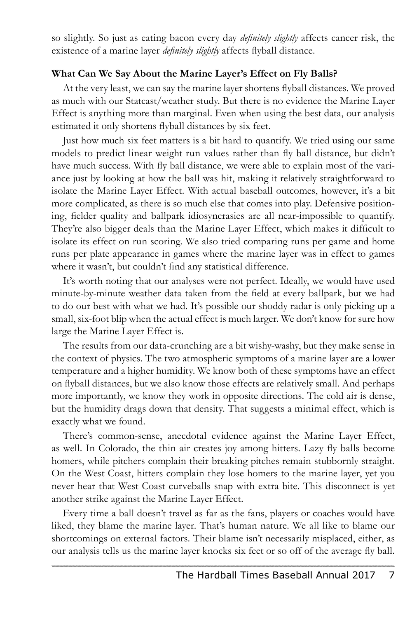so slightly. So just as eating bacon every day *defnitely slightly* affects cancer risk, the existence of a marine layer *defnitely slightly* affects fyball distance.

# **What Can We Say About the Marine Layer's Effect on Fly Balls?**

At the very least, we can say the marine layer shortens fyball distances. We proved as much with our Statcast/weather study. But there is no evidence the Marine Layer Effect is anything more than marginal. Even when using the best data, our analysis estimated it only shortens fyball distances by six feet.

Just how much six feet matters is a bit hard to quantify. We tried using our same models to predict linear weight run values rather than fy ball distance, but didn't have much success. With fy ball distance, we were able to explain most of the variance just by looking at how the ball was hit, making it relatively straightforward to isolate the Marine Layer Effect. With actual baseball outcomes, however, it's a bit more complicated, as there is so much else that comes into play. Defensive positioning, felder quality and ballpark idiosyncrasies are all near-impossible to quantify. They're also bigger deals than the Marine Layer Effect, which makes it difficult to isolate its effect on run scoring. We also tried comparing runs per game and home runs per plate appearance in games where the marine layer was in effect to games where it wasn't, but couldn't fnd any statistical difference.

It's worth noting that our analyses were not perfect. Ideally, we would have used minute-by-minute weather data taken from the feld at every ballpark, but we had to do our best with what we had. It's possible our shoddy radar is only picking up a small, six-foot blip when the actual effect is much larger. We don't know for sure how large the Marine Layer Effect is.

The results from our data-crunching are a bit wishy-washy, but they make sense in the context of physics. The two atmospheric symptoms of a marine layer are a lower temperature and a higher humidity. We know both of these symptoms have an effect on fyball distances, but we also know those effects are relatively small. And perhaps more importantly, we know they work in opposite directions. The cold air is dense, but the humidity drags down that density. That suggests a minimal effect, which is exactly what we found.

There's common-sense, anecdotal evidence against the Marine Layer Effect, as well. In Colorado, the thin air creates joy among hitters. Lazy fy balls become homers, while pitchers complain their breaking pitches remain stubbornly straight. On the West Coast, hitters complain they lose homers to the marine layer, yet you never hear that West Coast curveballs snap with extra bite. This disconnect is yet another strike against the Marine Layer Effect.

Every time a ball doesn't travel as far as the fans, players or coaches would have liked, they blame the marine layer. That's human nature. We all like to blame our shortcomings on external factors. Their blame isn't necessarily misplaced, either, as our analysis tells us the marine layer knocks six feet or so off of the average fy ball.